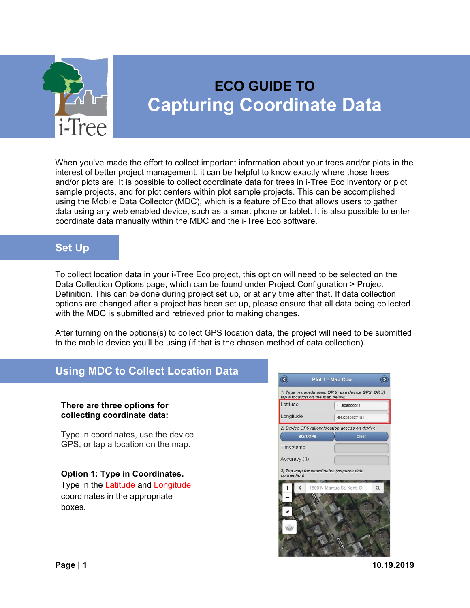

# **ECO GUIDE TO Capturing Coordinate Data**

When you've made the effort to collect important information about your trees and/or plots in the interest of better project management, it can be helpful to know exactly where those trees and/or plots are. It is possible to collect coordinate data for trees in i-Tree Eco inventory or plot sample projects, and for plot centers within plot sample projects. This can be accomplished using the Mobile Data Collector (MDC), which is a feature of Eco that allows users to gather data using any web enabled device, such as a smart phone or tablet. It is also possible to enter coordinate data manually within the MDC and the i-Tree Eco software.

## **Set Up**

To collect location data in your i-Tree Eco project, this option will need to be selected on the Data Collection Options page, which can be found under Project Configuration > Project Definition. This can be done during project set up, or at any time after that. If data collection options are changed after a project has been set up, please ensure that all data being collected with the MDC is submitted and retrieved prior to making changes.

After turning on the options(s) to collect GPS location data, the project will need to be submitted to the mobile device you'll be using (if that is the chosen method of data collection).

# **Using MDC to Collect Location Data**

#### **There are three options for collecting coordinate data:**

Type in coordinates, use the device GPS, or tap a location on the map.

**Option 1: Type in Coordinates.** Type in the Latitude and Longitude coordinates in the appropriate boxes.



**Page | 1 10.19.2019**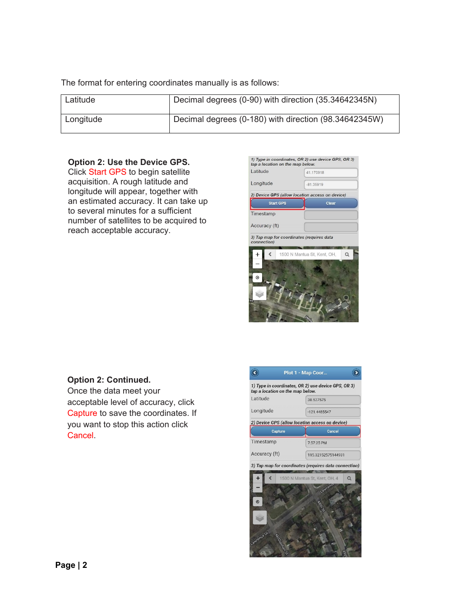The format for entering coordinates manually is as follows:

| Latitude  | Decimal degrees (0-90) with direction (35.34642345N)  |
|-----------|-------------------------------------------------------|
| Longitude | Decimal degrees (0-180) with direction (98.34642345W) |

#### **Option 2: Use the Device GPS.**

Click Start GPS to begin satellite acquisition. A rough latitude and longitude will appear, together with an estimated accuracy. It can take up to several minutes for a sufficient number of satellites to be acquired to reach acceptable accuracy.

| Latitude         | 41.170918                                       |
|------------------|-------------------------------------------------|
| Longitude        | $-81.35919$                                     |
|                  | 2) Device GPS (allow location access on device) |
| <b>Start GPS</b> | Clear                                           |
| Timestamp        |                                                 |
| Accuracy (ft)    |                                                 |
|                  |                                                 |
| connection)      | 3) Tap map for coordinates (requires data       |
|                  | $\alpha$<br>1500 N Mantua St, Kent, OH,         |
| $\odot$          |                                                 |

# **Option 2: Continued.**

Once the data meet your acceptable level of accuracy, click Capture to save the coordinates. If you want to stop this action click Cancel.

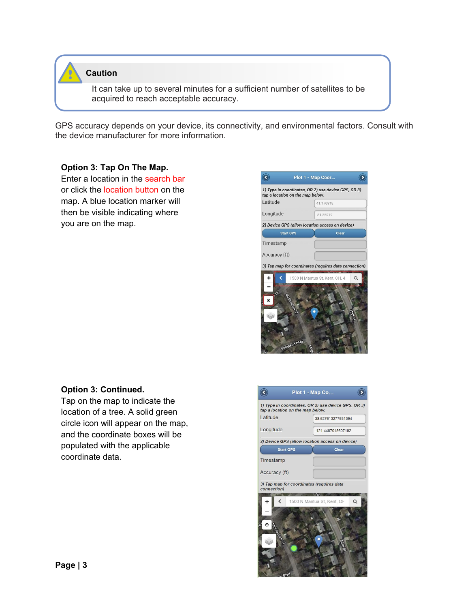

**Caution** 

It can take up to several minutes for a sufficient number of satellites to be acquired to reach acceptable accuracy.

GPS accuracy depends on your device, its connectivity, and environmental factors. Consult with the device manufacturer for more information.

### **Option 3: Tap On The Map.**

Enter a location in the search bar or click the location button on the map. A blue location marker will then be visible indicating where you are on the map.



### **Option 3: Continued.**

Tap on the map to indicate the location of a tree. A solid green circle icon will appear on the map, and the coordinate boxes will be populated with the applicable coordinate data.

| Plot 1 - Map Co                                                                         |                                        |  |  |  |
|-----------------------------------------------------------------------------------------|----------------------------------------|--|--|--|
| 1) Type in coordinates, OR 2) use device GPS, OR 3)<br>tap a location on the map below. |                                        |  |  |  |
| Latitude                                                                                | 38.527613277931394                     |  |  |  |
| Longitude                                                                               | -121.4487015607192                     |  |  |  |
| 2) Device GPS (allow location access on device)                                         |                                        |  |  |  |
| <b>Start GPS</b>                                                                        | Clear                                  |  |  |  |
| Timestamp                                                                               |                                        |  |  |  |
| Accuracy (ft)                                                                           |                                        |  |  |  |
| 3) Tap map for coordinates (requires data<br>connection)                                |                                        |  |  |  |
| $\ddot{}$<br>C                                                                          | 1500 N Mantua St, Kent, OH<br>$\alpha$ |  |  |  |
| $\bm{\odot}$<br><b>Headard Bay</b>                                                      |                                        |  |  |  |
| Blvd                                                                                    |                                        |  |  |  |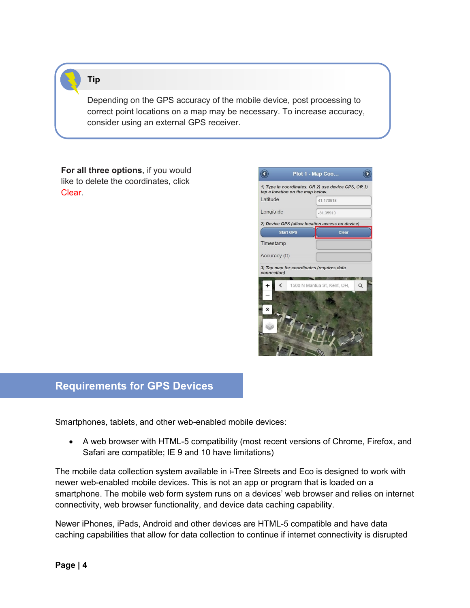### **Tip**

Depending on the GPS accuracy of the mobile device, post processing to correct point locations on a map may be necessary. To increase accuracy, consider using an external GPS receiver.

**For all three options**, if you would like to delete the coordinates, click Clear.



### **Requirements for GPS Devices**

Smartphones, tablets, and other web-enabled mobile devices:

• A web browser with HTML-5 compatibility (most recent versions of Chrome, Firefox, and Safari are compatible; IE 9 and 10 have limitations)

The mobile data collection system available in i-Tree Streets and Eco is designed to work with newer web-enabled mobile devices. This is not an app or program that is loaded on a smartphone. The mobile web form system runs on a devices' web browser and relies on internet connectivity, web browser functionality, and device data caching capability.

Newer iPhones, iPads, Android and other devices are HTML-5 compatible and have data caching capabilities that allow for data collection to continue if internet connectivity is disrupted